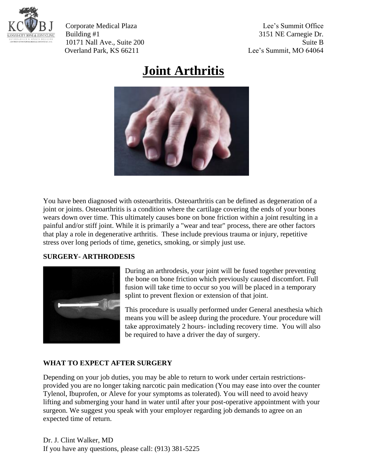

Corporate Medical Plaza Lee's Summit Office Building #1 3151 NE Carnegie Dr. 10171 Nall Ave., Suite 200 Suite B Overland Park, KS 66211 Lee's Summit, MO 64064

## **Joint Arthritis**



You have been diagnosed with osteoarthritis. Osteoarthritis can be defined as degeneration of a joint or joints. Osteoarthritis is a condition where the cartilage covering the ends of your bones wears down over time. This ultimately causes bone on bone friction within a joint resulting in a painful and/or stiff joint. While it is primarily a "wear and tear" process, there are other factors that play a role in degenerative arthritis. These include previous trauma or injury, repetitive stress over long periods of time, genetics, smoking, or simply just use.

## **SURGERY- ARTHRODESIS**



During an arthrodesis, your joint will be fused together preventing the bone on bone friction which previously caused discomfort. Full fusion will take time to occur so you will be placed in a temporary splint to prevent flexion or extension of that joint.

This procedure is usually performed under General anesthesia which means you will be asleep during the procedure. Your procedure will take approximately 2 hours- including recovery time. You will also be required to have a driver the day of surgery.

## **WHAT TO EXPECT AFTER SURGERY**

Depending on your job duties, you may be able to return to work under certain restrictionsprovided you are no longer taking narcotic pain medication (You may ease into over the counter Tylenol, Ibuprofen, or Aleve for your symptoms as tolerated). You will need to avoid heavy lifting and submerging your hand in water until after your post-operative appointment with your surgeon. We suggest you speak with your employer regarding job demands to agree on an expected time of return.